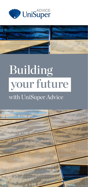



# Building your future

### with UniSuper Advice

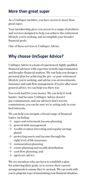#### **More than great super**

As a UniSuper member, you have access to more than great super.

Your membership gives you access to a range of products and services designed to help you achieve the retirement lifestyle you're seeking, and accomplish your broader financial goals.

One of these services is UniSuper Advice.

#### **Why choose UniSuper Advice?**

UniSuper Advice is a team of experienced, highly qualified financial advisers with expertise in both superannuation and broader financial matters. We can help you design a personal plan for achieving the pre- or post-retirement lifestyle you're seeking, and advise you on investments, insurance and cash flow management. If you're after more general advice, we can help you there too.

You work hard for your money. We can help it work harder. And because UniSuper Advice doesn't pay commissions, and our advisers don't receive commissions, you can be sure we're acting only in your best interests.

We can help you navigate a broad range of financial topics, including:

- $\rightarrow$  super and retirement income planning
- $\rightarrow$  general debt management
- $\rightarrow$  wealth creation (investing and regular savings plans)
- $\rightarrow$  protecting assets and income through the right level of life insurance
- $\rightarrow$  remuneration planning
- $\rightarrow$  estate planning and wealth distribution
- $\Rightarrow$  cash flow planning, and
- $\rightarrow$  aged care advice.

We see members who are keen to establish a plan for achieving their goals, or to review their current arrangements to ensure they're on track. We can work with you to pinpoint ways of maximising your financial situation.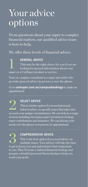## Your advice options

From questions about your super to complex financial matters, our qualified advice team is here to help.

We offer three levels of financial advice:

**GENERAL ADVICE**<br>
This may be the right choice for you if you a<br>
looking for general information about your This may be the right choice for you if you are super or a UniSuper product or service.

Your on-campus consultant is a super specialist who provides general advice in person or over the phone.

Go to **unisuper.com.au/campusbookings** to make an appointment.

**2 SELECT ADVICE**<br>This is a better op<br>tailored advice or This is a better option if you need personal, tailored advice on specific issues that takes into account your unique circumstances. We can help in a range of areas including choosing a super investment strategy, super contributions and insurance. We can discuss your needs over the phone or in person, by appointment.

#### 3 **COMPREHENSIVE ADVICE**

This is the best option if you need advice on multiple issues. Your adviser will take the time to get to know you and understand what's important to you. They'll create a tailored financial strategy and prepare a detailed personal financial plan to help you reach your goals.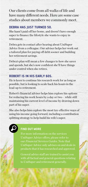Our clients come from all walks of life and have many different needs. Here are some case studies about members we commonly meet.

#### **DEBRA HAS JUST TURNED 50.**

She hasn't paid off her home, and doesn't have enough super to finance the lifestyle she wants to enjoy in retirement.

Debra gets in contact after hearing about UniSuper Advice from a colleague. Our adviser helps her work out a tailored plan for paying off debt sooner and building her retirement savings.

Debra's plan will mean a few changes to how she saves and spends, but she's now confident she'll have things under control when she retires.

#### **ROBERT IS IN HIS EARLY 60S.**

He is keen to continue his research work for as long as possible, but is looking to scale back his hours in the lead-up to retirement.

Robert's financial adviser helps him explore his options for reducing his work hours by a day or two – while still maintaining his current level of income by drawing down part of his super.

She also helps him explore the most tax-effective ways of using his income going forward, including a contribution splitting strategy to help build his wife's super.



#### **FIND OUT MORE**

For more information on the services UniSuper Advice offers, please refer to our *Financial Services Guides*. Note that UniSuper Advice only advises on and deals in products that it has researched and approved.

General advice staff are trained to assist you with all factual and general questions relating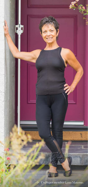

Z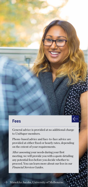#### **Fees**

General advice is provided at no additional charge to UniSuper members.

Phone-based advice and face-to-face advice are provided at either fixed or hourly rates, depending on the extent of your requirements.

After assessing your needs during your first meeting, we will provide you with a quote detailing any potential fees before you decide whether to proceed. You can learn more about our fees in our *Financial Services Guides*.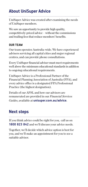#### **About UniSuper Advice**

UniSuper Advice was created after examining the needs of UniSuper members.

We saw an opportunity to provide high quality, competitively-priced advice – without the commissions and trailing fees that reduce members' benefits.

#### **OUR TEAM**

Our team operates Australia-wide. We have experienced advisers servicing all capital cities and major regional centres, and can provide phone consultations.

Every UniSuper financial adviser must meet requirements well above the minimum educational standards in addition to ongoing educational requirements.

UniSuper Advice is a Professional Partner of the Financial Planning Association of Australia (FPA), and every advice office is a designated FPA Professional Practice (the highest designation).

Details of our AFSL and how our advisers are remunerated are provided in our *Financial Services Guides*, available at **unisuper.com.au/advice**.

#### **Next steps**

If you think advice could be right for you, call us on **1800 823 842** and we'll discuss your advice needs.

Together, we'll decide which advice option is best for you, and we'll make an appointment for you to see a suitable adviser.